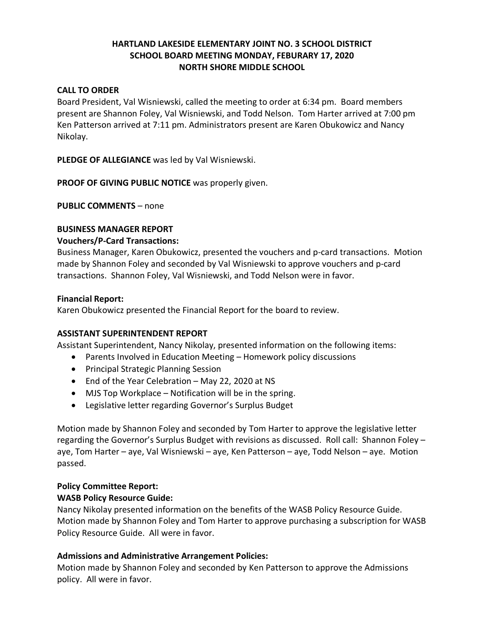# **HARTLAND LAKESIDE ELEMENTARY JOINT NO. 3 SCHOOL DISTRICT SCHOOL BOARD MEETING MONDAY, FEBURARY 17, 2020 NORTH SHORE MIDDLE SCHOOL**

### **CALL TO ORDER**

Board President, Val Wisniewski, called the meeting to order at 6:34 pm. Board members present are Shannon Foley, Val Wisniewski, and Todd Nelson. Tom Harter arrived at 7:00 pm Ken Patterson arrived at 7:11 pm. Administrators present are Karen Obukowicz and Nancy Nikolay.

**PLEDGE OF ALLEGIANCE** was led by Val Wisniewski.

**PROOF OF GIVING PUBLIC NOTICE** was properly given.

**PUBLIC COMMENTS** – none

### **BUSINESS MANAGER REPORT**

### **Vouchers/P-Card Transactions:**

Business Manager, Karen Obukowicz, presented the vouchers and p-card transactions. Motion made by Shannon Foley and seconded by Val Wisniewski to approve vouchers and p-card transactions. Shannon Foley, Val Wisniewski, and Todd Nelson were in favor.

### **Financial Report:**

Karen Obukowicz presented the Financial Report for the board to review.

### **ASSISTANT SUPERINTENDENT REPORT**

Assistant Superintendent, Nancy Nikolay, presented information on the following items:

- Parents Involved in Education Meeting Homework policy discussions
- Principal Strategic Planning Session
- End of the Year Celebration May 22, 2020 at NS
- MJS Top Workplace Notification will be in the spring.
- Legislative letter regarding Governor's Surplus Budget

Motion made by Shannon Foley and seconded by Tom Harter to approve the legislative letter regarding the Governor's Surplus Budget with revisions as discussed. Roll call: Shannon Foley – aye, Tom Harter – aye, Val Wisniewski – aye, Ken Patterson – aye, Todd Nelson – aye. Motion passed.

# **Policy Committee Report:**

# **WASB Policy Resource Guide:**

Nancy Nikolay presented information on the benefits of the WASB Policy Resource Guide. Motion made by Shannon Foley and Tom Harter to approve purchasing a subscription for WASB Policy Resource Guide. All were in favor.

# **Admissions and Administrative Arrangement Policies:**

Motion made by Shannon Foley and seconded by Ken Patterson to approve the Admissions policy. All were in favor.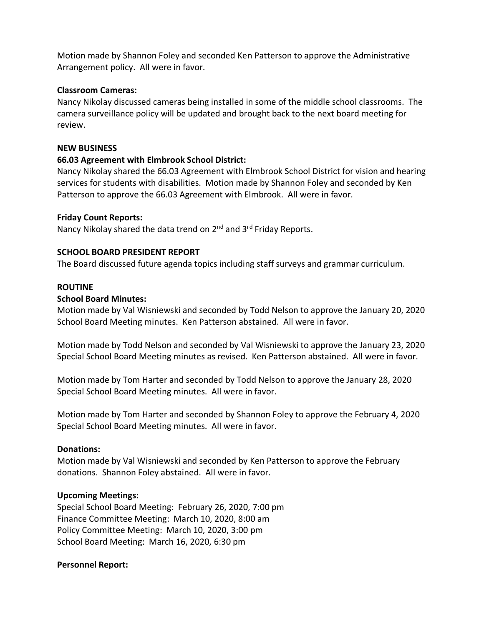Motion made by Shannon Foley and seconded Ken Patterson to approve the Administrative Arrangement policy. All were in favor.

### **Classroom Cameras:**

Nancy Nikolay discussed cameras being installed in some of the middle school classrooms. The camera surveillance policy will be updated and brought back to the next board meeting for review.

### **NEW BUSINESS**

## **66.03 Agreement with Elmbrook School District:**

Nancy Nikolay shared the 66.03 Agreement with Elmbrook School District for vision and hearing services for students with disabilities. Motion made by Shannon Foley and seconded by Ken Patterson to approve the 66.03 Agreement with Elmbrook. All were in favor.

## **Friday Count Reports:**

Nancy Nikolay shared the data trend on 2<sup>nd</sup> and 3<sup>rd</sup> Friday Reports.

## **SCHOOL BOARD PRESIDENT REPORT**

The Board discussed future agenda topics including staff surveys and grammar curriculum.

## **ROUTINE**

### **School Board Minutes:**

Motion made by Val Wisniewski and seconded by Todd Nelson to approve the January 20, 2020 School Board Meeting minutes. Ken Patterson abstained. All were in favor.

Motion made by Todd Nelson and seconded by Val Wisniewski to approve the January 23, 2020 Special School Board Meeting minutes as revised. Ken Patterson abstained. All were in favor.

Motion made by Tom Harter and seconded by Todd Nelson to approve the January 28, 2020 Special School Board Meeting minutes. All were in favor.

Motion made by Tom Harter and seconded by Shannon Foley to approve the February 4, 2020 Special School Board Meeting minutes. All were in favor.

### **Donations:**

Motion made by Val Wisniewski and seconded by Ken Patterson to approve the February donations. Shannon Foley abstained. All were in favor.

### **Upcoming Meetings:**

Special School Board Meeting: February 26, 2020, 7:00 pm Finance Committee Meeting: March 10, 2020, 8:00 am Policy Committee Meeting: March 10, 2020, 3:00 pm School Board Meeting: March 16, 2020, 6:30 pm

### **Personnel Report:**